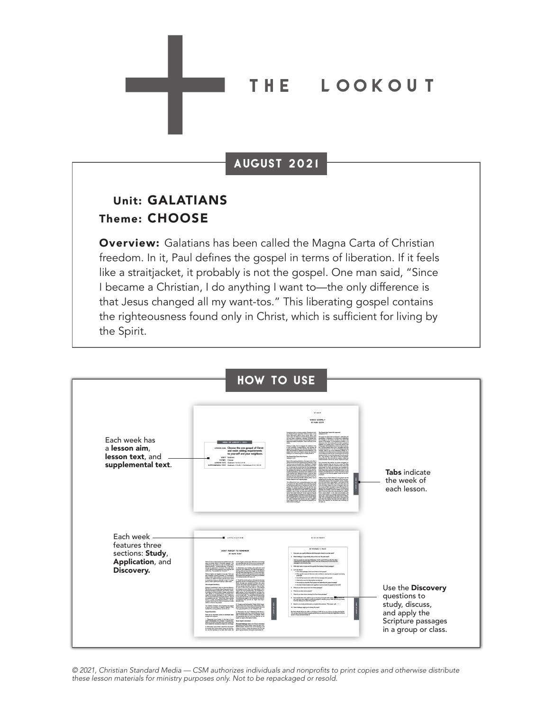#### THE **T** LOOKOUT

### AUGUST 2021

## Unit: GALATIANS Theme: CHOOSE

**Overview:** Galatians has been called the Magna Carta of Christian freedom. In it, Paul defines the gospel in terms of liberation. If it feels like a straitjacket, it probably is not the gospel. One man said, "Since I became a Christian, I do anything I want to—the only difference is that Jesus changed all my want-tos." This liberating gospel contains the righteousness found only in Christ, which is sufficient for living by the Spirit.



© 2021, Christian Standard Media — CSM authorizes individuals and nonprofits to print copies and otherwise distribute these lesson materials for ministry purposes only. Not to be repackaged or resold.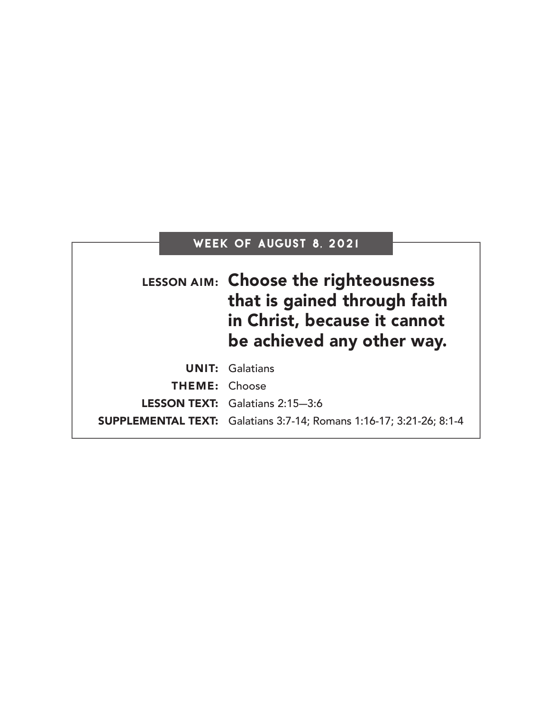# Week of AUGUST 8, 2021

|                      | LESSON AIM: Choose the righteousness<br>that is gained through faith<br>in Christ, because it cannot<br>be achieved any other way. |
|----------------------|------------------------------------------------------------------------------------------------------------------------------------|
|                      | <b>UNIT: Galatians</b>                                                                                                             |
| <b>THEME: Choose</b> |                                                                                                                                    |
|                      | LESSON TEXT: Galatians 2:15-3:6                                                                                                    |
|                      | <b>SUPPLEMENTAL TEXT:</b> Galatians 3:7-14; Romans 1:16-17; 3:21-26; 8:1-4                                                         |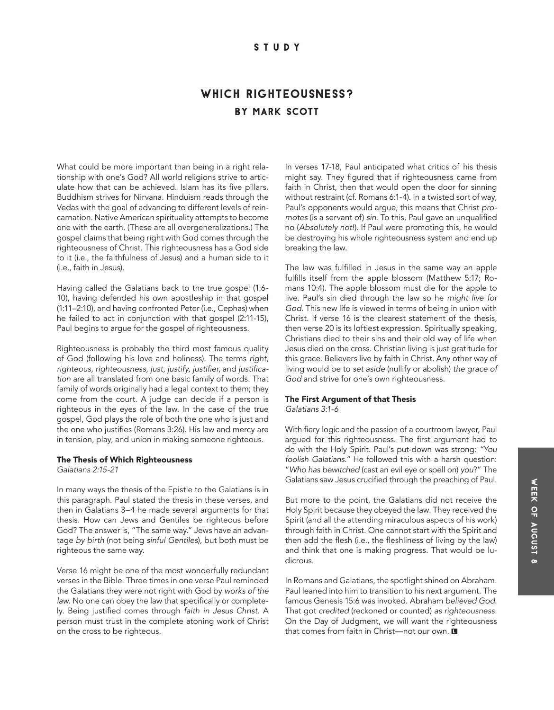### **STUDY**

## by mark scott WHICH RIGHTEOUSNESS?

What could be more important than being in a right relationship with one's God? All world religions strive to articulate how that can be achieved. Islam has its five pillars. Buddhism strives for Nirvana. Hinduism reads through the Vedas with the goal of advancing to different levels of reincarnation. Native American spirituality attempts to become one with the earth. (These are all overgeneralizations.) The gospel claims that being right with God comes through the righteousness of Christ. This righteousness has a God side to it (i.e., the faithfulness of Jesus) and a human side to it (i.e., faith in Jesus).

Having called the Galatians back to the true gospel (1:6- 10), having defended his own apostleship in that gospel (1:11–2:10), and having confronted Peter (i.e., Cephas) when he failed to act in conjunction with that gospel (2:11-15), Paul begins to argue for the gospel of righteousness.

Righteousness is probably the third most famous quality of God (following his love and holiness). The terms *right,*  righteous, righteousness, just, justify, justifier, and justifica*tion* are all translated from one basic family of words. That family of words originally had a legal context to them; they come from the court. A judge can decide if a person is righteous in the eyes of the law. In the case of the true gospel, God plays the role of both the one who is just and the one who justifies (Romans 3:26). His law and mercy are in tension, play, and union in making someone righteous.

#### The Thesis of Which Righteousness

*Galatians 2:15-21*

In many ways the thesis of the Epistle to the Galatians is in this paragraph. Paul stated the thesis in these verses, and then in Galatians 3–4 he made several arguments for that thesis. How can Jews and Gentiles be righteous before God? The answer is, "The same way." Jews have an advantage *by birth* (not being *sinful Gentiles*), but both must be righteous the same way.

Verse 16 might be one of the most wonderfully redundant verses in the Bible. Three times in one verse Paul reminded the Galatians they were not right with God by *works of the law*. No one can obey the law that specifically or completely. Being justified comes through *faith in Jesus Christ*. A person must trust in the complete atoning work of Christ on the cross to be righteous.

In verses 17-18, Paul anticipated what critics of his thesis might say. They figured that if righteousness came from faith in Christ, then that would open the door for sinning without restraint (cf. Romans 6:1-4). In a twisted sort of way, Paul's opponents would argue, this means that Christ *promotes* (is a servant of) *sin*. To this, Paul gave an unqualified no (*Absolutely not!*). If Paul were promoting this, he would be destroying his whole righteousness system and end up breaking the law.

The law was fulfilled in Jesus in the same way an apple fulfills itself from the apple blossom (Matthew 5:17; Romans 10:4). The apple blossom must die for the apple to live. Paul's sin died through the law so he *might live for God*. This new life is viewed in terms of being in union with Christ. If verse 16 is the clearest statement of the thesis, then verse 20 is its loftiest expression. Spiritually speaking, Christians died to their sins and their old way of life when Jesus died on the cross. Christian living is just gratitude for this grace. Believers live by faith in Christ. Any other way of living would be to *set aside* (nullify or abolish) *the grace of God* and strive for one's own righteousness.

## The First Argument of that Thesis

*Galatians 3:1-6*

With fiery logic and the passion of a courtroom lawyer, Paul argued for this righteousness. The first argument had to do with the Holy Spirit. Paul's put-down was strong: *"You foolish Galatians."* He followed this with a harsh question: "*Who has bewitched* (cast an evil eye or spell on) *you*?" The Galatians saw Jesus crucified through the preaching of Paul.

But more to the point, the Galatians did not receive the Holy Spirit because they obeyed the law. They received the Spirit (and all the attending miraculous aspects of his work) through faith in Christ. One cannot start with the Spirit and then add the flesh (i.e., the fleshliness of living by the law) and think that one is making progress. That would be ludicrous.

In Romans and Galatians, the spotlight shined on Abraham. Paul leaned into him to transition to his next argument. The famous Genesis 15:6 was invoked. Abraham *believed God*. That got *credited* (reckoned or counted) *as righteousness*. On the Day of Judgment, we will want the righteousness that comes from faith in Christ—not our own.  $\blacksquare$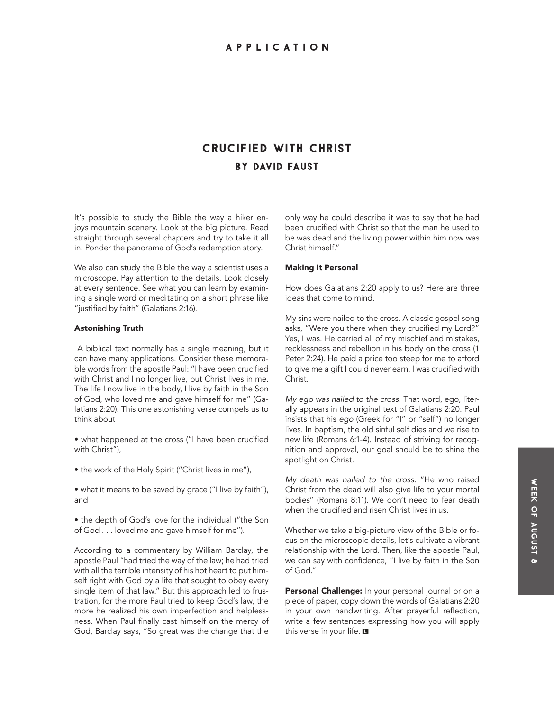## Crucified with Christ by David Faust

It's possible to study the Bible the way a hiker enjoys mountain scenery. Look at the big picture. Read straight through several chapters and try to take it all in. Ponder the panorama of God's redemption story.

We also can study the Bible the way a scientist uses a microscope. Pay attention to the details. Look closely at every sentence. See what you can learn by examining a single word or meditating on a short phrase like "justified by faith" (Galatians 2:16).

#### Astonishing Truth

 A biblical text normally has a single meaning, but it can have many applications. Consider these memorable words from the apostle Paul: "I have been crucified with Christ and I no longer live, but Christ lives in me. The life I now live in the body, I live by faith in the Son of God, who loved me and gave himself for me" (Galatians 2:20). This one astonishing verse compels us to think about

• what happened at the cross ("I have been crucified with Christ"),

- the work of the Holy Spirit ("Christ lives in me"),
- what it means to be saved by grace ("I live by faith"), and
- the depth of God's love for the individual ("the Son of God . . . loved me and gave himself for me").

According to a commentary by William Barclay, the apostle Paul "had tried the way of the law; he had tried with all the terrible intensity of his hot heart to put himself right with God by a life that sought to obey every single item of that law." But this approach led to frustration, for the more Paul tried to keep God's law, the more he realized his own imperfection and helplessness. When Paul finally cast himself on the mercy of God, Barclay says, "So great was the change that the

only way he could describe it was to say that he had been crucified with Christ so that the man he used to be was dead and the living power within him now was Christ himself."

#### Making It Personal

How does Galatians 2:20 apply to us? Here are three ideas that come to mind.

My sins were nailed to the cross. A classic gospel song asks, "Were you there when they crucified my Lord?" Yes, I was. He carried all of my mischief and mistakes, recklessness and rebellion in his body on the cross (1 Peter 2:24). He paid a price too steep for me to afford to give me a gift I could never earn. I was crucified with Christ.

*My ego was nailed to the cross.* That word, ego, literally appears in the original text of Galatians 2:20. Paul insists that his *ego* (Greek for "I" or "self") no longer lives. In baptism, the old sinful self dies and we rise to new life (Romans 6:1-4). Instead of striving for recognition and approval, our goal should be to shine the spotlight on Christ.

*My death was nailed to the cross.* "He who raised Christ from the dead will also give life to your mortal bodies" (Romans 8:11). We don't need to fear death when the crucified and risen Christ lives in us.

Whether we take a big-picture view of the Bible or focus on the microscopic details, let's cultivate a vibrant relationship with the Lord. Then, like the apostle Paul, we can say with confidence, "I live by faith in the Son of God."

Personal Challenge: In your personal journal or on a piece of paper, copy down the words of Galatians 2:20 in your own handwriting. After prayerful reflection, write a few sentences expressing how you will apply this verse in your life. ■